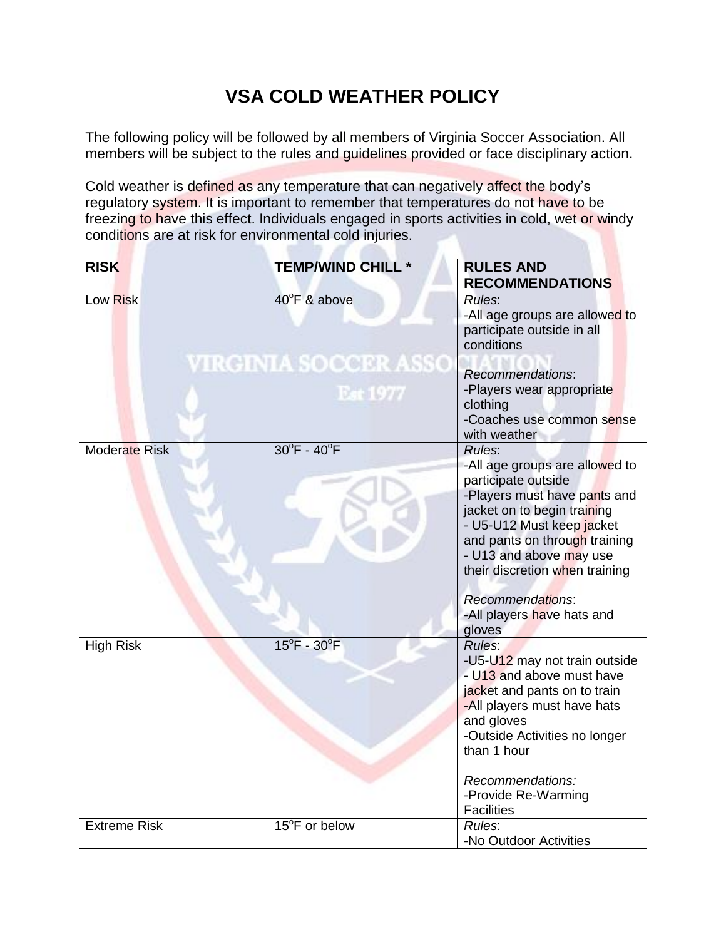## **VSA COLD WEATHER POLICY**

The following policy will be followed by all members of Virginia Soccer Association. All members will be subject to the rules and guidelines provided or face disciplinary action.

Cold weather is defined as any temperature that can negatively affect the body's regulatory system. It is important to remember that temperatures do not have to be freezing to have this effect. Individuals engaged in sports activities in cold, wet or windy conditions are at risk for environmental cold injuries.

**D.N** 

n

| <b>RISK</b>          | <b>TEMP/WIND CHILL *</b>                | <b>RULES AND</b><br><b>RECOMMENDATIONS</b>                                                                                                                                                                                                                |  |  |  |  |  |
|----------------------|-----------------------------------------|-----------------------------------------------------------------------------------------------------------------------------------------------------------------------------------------------------------------------------------------------------------|--|--|--|--|--|
| Low Risk             | 40°F & above                            | Rules:<br>-All age groups are allowed to<br>participate outside in all<br>conditions                                                                                                                                                                      |  |  |  |  |  |
|                      | <b>VIRGINIA SOCCER ASSO</b><br>Est 1977 | Recommendations:<br>-Players wear appropriate<br>clothing<br>-Coaches use common sense<br>with weather                                                                                                                                                    |  |  |  |  |  |
| <b>Moderate Risk</b> | $30^{\circ}$ F - $40^{\circ}$ F         | Rules:<br>-All age groups are allowed to<br>participate outside<br>-Players must have pants and<br>jacket on to begin training<br>- U5-U12 Must keep jacket<br>and pants on through training<br>- U13 and above may use<br>their discretion when training |  |  |  |  |  |
|                      |                                         | <b>Recommendations:</b><br>-All players have hats and<br>gloves                                                                                                                                                                                           |  |  |  |  |  |
| <b>High Risk</b>     | $15^{\circ}$ F - 30 $^{\circ}$ F        | Rules:<br>-U5-U12 may not train outside<br>- U13 and above must have<br>jacket and pants on to train<br>-All players must have hats<br>and gloves<br>-Outside Activities no longer<br>than 1 hour                                                         |  |  |  |  |  |
|                      |                                         | Recommendations:<br>-Provide Re-Warming<br><b>Facilities</b>                                                                                                                                                                                              |  |  |  |  |  |
| <b>Extreme Risk</b>  | 15°F or below                           | Rules:<br>-No Outdoor Activities                                                                                                                                                                                                                          |  |  |  |  |  |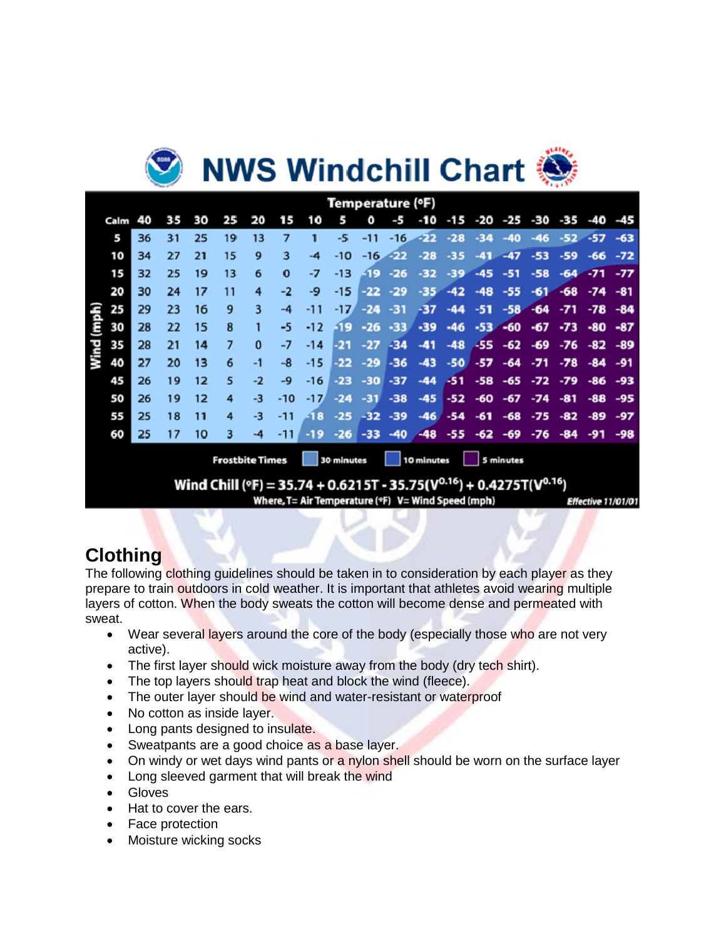# **NWS Windchill Chart ∛**

| Temperature (°F) |      |    |    |    |    |                           |        |        |                   |            |            |                                                       |            |        |       |             |       |                   |       |
|------------------|------|----|----|----|----|---------------------------|--------|--------|-------------------|------------|------------|-------------------------------------------------------|------------|--------|-------|-------------|-------|-------------------|-------|
|                  | Calm | 40 | 35 | 30 | 25 | 20                        | 15     | 1Ō     | 5                 | Ō          | -5         | -10                                                   | -15        |        |       | -20 -25 -30 | -35   | -40 -45           |       |
|                  | 5    | 36 | 31 | 25 | 19 | 13                        | 7      |        | -5.               | $-11$      | $-16$      | $-22 - 28$                                            |            | $-34$  | $-40$ | $-46$       |       | $-52 - 57$        | $-63$ |
|                  | 10   | 34 | 27 | 21 | 15 | 9                         | 3      | -4     | $-10$             |            | $-16 - 22$ | $-28$                                                 | $-35$      | $-41-$ | $-47$ | $-53$       | $-59$ | -66               | $-72$ |
|                  | 15   | 32 | 25 | 19 | 13 | 6                         | 0      | -7     | $-13$             |            | $-19 - 26$ | $-32$                                                 | $-39$      | $-45$  | $-51$ | $-58$       |       | $-64 - -71 - -77$ |       |
|                  | 20   | 30 | 24 | 17 | 11 | 4                         | -2     | -9     | $-15$             | $-22$      | $-29$      | $-35$                                                 | $-42$      | $-48$  | $-55$ | $-61$       |       | $-68 - 74$        | $-81$ |
|                  | 25   | 29 | 23 | 16 | 9  | 3                         | $-4$   | -11    | $-17'$            | $-24$      | $-31$      | -37                                                   | $-44$      | $-51$  | $-58$ | $-64$       | $-71$ | $-78$             | $-84$ |
| (mph)            | 30   | 28 | 22 | 15 | 8  |                           | -5     | $-12$  | $-19$             |            | $-26 - 33$ |                                                       | $-39 - 46$ | $-53$  |       | $-60$ $-67$ | $-73$ | -80               | $-87$ |
| Wind             | 35   | 28 | 21 | 14 | 7  | 0                         | -7     | $-14$  | $-21$             | $-27 - 34$ |            | $-41$                                                 | $-48$      | -55    | $-62$ | $-69$       |       | $-76 - 82$        | -89   |
|                  | 40   | 27 | 20 | 13 | 6  | -1                        | -8     | $-15$  | $-22$             |            | $-29 - 36$ | $-43$ $-50$ $-57$                                     |            |        |       | -64 -71     |       | $-78 - 84 - 91$   |       |
|                  | 45   | 26 | 19 | 12 | 5  | $-2$                      | -9     | $-16$  | $-23$             |            | $-30 - 37$ | $-44$                                                 | $-51$      | $-58$  | $-65$ | $-72$       | $-79$ | -86               | -93   |
|                  | 50   | 26 | 19 | 12 | 4  | $-3$                      | $-10$  | $-17'$ | $-24$             |            |            | $-31$ $-38$ $-45$ $-52$ $-60$ $-67$ $-74$ $-81$       |            |        |       |             |       | -88               | -95   |
|                  | 55   | 25 | 18 | 11 | 4  | -3                        | $-11$  | $-18$  | $-25$             |            | $-32 - 39$ | $-46'$                                                | $-54$      | $-61$  | $-68$ | $-75$       | -82   | -89               | $-97$ |
|                  | 60   | 25 | 17 | 10 | 3  | -4                        | $-11.$ | $-19$  | $-26$             | $-33$      |            | $-40$ $-48$ $-55$ $-62$ $-69$ $-76$ $-84$ $-91$ $-98$ |            |        |       |             |       |                   |       |
|                  |      |    |    |    |    | Francisch Stadt Winnerson |        |        | <b>Experience</b> |            |            |                                                       |            |        |       |             |       |                   |       |

Wind Chill (°F) = 35.74 + 0.6215T - 35.75( $V^{0.16}$ ) + 0.4275T( $V^{0.16}$ )

Where, T= Air Temperature (°F) V= Wind Speed (mph)

Effective 11/01/01

## **Clothing**

The following clothing guidelines should be taken in to consideration by each player as they prepare to train outdoors in cold weather. It is important that athletes avoid wearing multiple layers of cotton. When the body sweats the cotton will become dense and permeated with sweat.

- Wear several layers around the core of the body (especially those who are not very active).
- The first layer should wick moisture away from the body (dry tech shirt).
- The top layers should trap heat and block the wind (fleece).
- The outer layer should be wind and water-resistant or waterproof
- No cotton as inside layer.
- Long pants designed to insulate.
- Sweatpants are a good choice as a base layer.
- On windy or wet days wind pants or a nylon shell should be worn on the surface layer
- Long sleeved garment that will break the wind
- **•** Gloves
- Hat to cover the ears.
- Face protection
- Moisture wicking socks